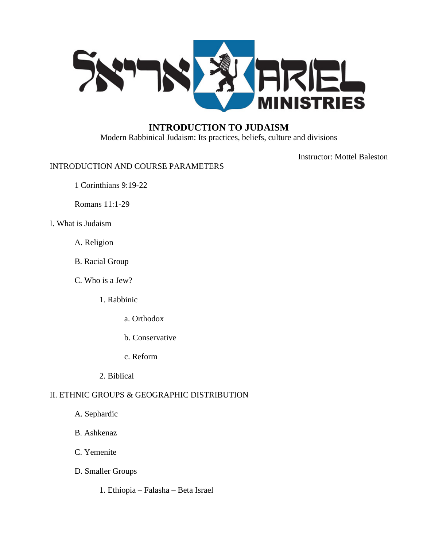

# **INTRODUCTION TO JUDAISM**

Modern Rabbinical Judaism: Its practices, beliefs, culture and divisions

Instructor: Mottel Baleston

# INTRODUCTION AND COURSE PARAMETERS

1 Corinthians 9:19-22

Romans 11:1-29

- I. What is Judaism
	- A. Religion
	- B. Racial Group
	- C. Who is a Jew?
		- 1. Rabbinic
			- a. Orthodox
			- b. Conservative
			- c. Reform
		- 2. Biblical

# II. ETHNIC GROUPS & GEOGRAPHIC DISTRIBUTION

- A. Sephardic
- B. Ashkenaz
- C. Yemenite
- D. Smaller Groups
	- 1. Ethiopia Falasha Beta Israel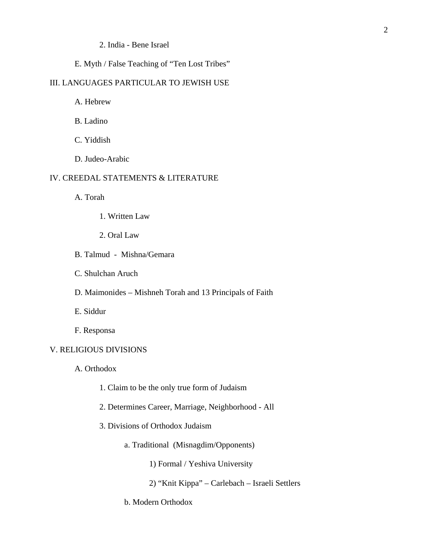### 2. India - Bene Israel

# E. Myth / False Teaching of "Ten Lost Tribes"

### III. LANGUAGES PARTICULAR TO JEWISH USE

A. Hebrew

B. Ladino

C. Yiddish

D. Judeo-Arabic

## IV. CREEDAL STATEMENTS & LITERATURE

A. Torah

- 1. Written Law
- 2. Oral Law
- B. Talmud Mishna/Gemara
- C. Shulchan Aruch
- D. Maimonides Mishneh Torah and 13 Principals of Faith

E. Siddur

F. Responsa

## V. RELIGIOUS DIVISIONS

A. Orthodox

- 1. Claim to be the only true form of Judaism
- 2. Determines Career, Marriage, Neighborhood All
- 3. Divisions of Orthodox Judaism
	- a. Traditional (Misnagdim/Opponents)

1) Formal / Yeshiva University

- 2) "Knit Kippa" Carlebach Israeli Settlers
- b. Modern Orthodox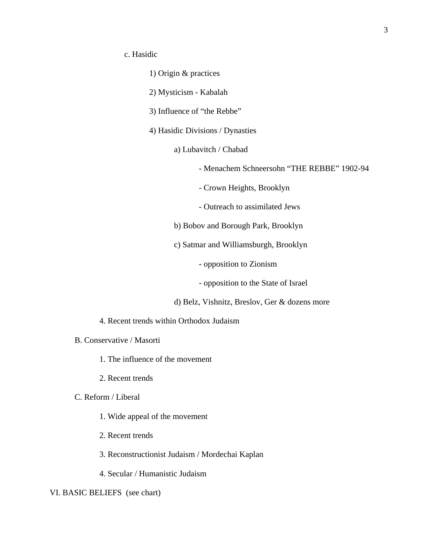- 1) Origin & practices
- 2) Mysticism Kabalah
- 3) Influence of "the Rebbe"
- 4) Hasidic Divisions / Dynasties
	- a) Lubavitch / Chabad
		- Menachem Schneersohn "THE REBBE" 1902-94
		- Crown Heights, Brooklyn
		- Outreach to assimilated Jews
	- b) Bobov and Borough Park, Brooklyn
	- c) Satmar and Williamsburgh, Brooklyn
		- opposition to Zionism
		- opposition to the State of Israel
	- d) Belz, Vishnitz, Breslov, Ger & dozens more
- 4. Recent trends within Orthodox Judaism
- B. Conservative / Masorti
	- 1. The influence of the movement
	- 2. Recent trends
- C. Reform / Liberal
	- 1. Wide appeal of the movement
	- 2. Recent trends
	- 3. Reconstructionist Judaism / Mordechai Kaplan
	- 4. Secular / Humanistic Judaism

#### VI. BASIC BELIEFS (see chart)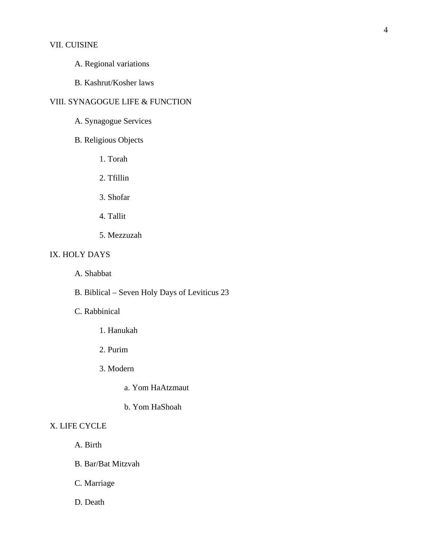## VII. CUISINE

- A. Regional variations
- B. Kashrut/Kosher laws

# VIII. SYNAGOGUE LIFE & FUNCTION

- A. Synagogue Services
- B. Religious Objects
	- 1. Torah
	- 2. Tfillin
	- 3. Shofar
	- 4. Tallit
	- 5. Mezzuzah

## IX. HOLY DAYS

- A. Shabbat
- B. Biblical Seven Holy Days of Leviticus 23

# C. Rabbinical

- 1. Hanukah
- 2. Purim
- 3. Modern
	- a. Yom HaAtzmaut
	- b. Yom HaShoah

## X. LIFE CYCLE

- A. Birth
- B. Bar/Bat Mitzvah
- C. Marriage
- D. Death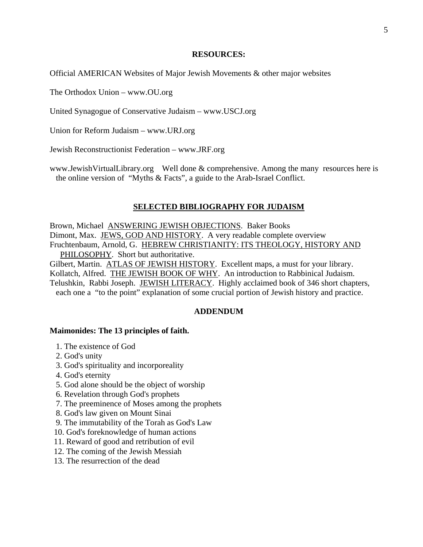#### **RESOURCES:**

Official AMERICAN Websites of Major Jewish Movements & other major websites

The Orthodox Union – www.OU.org

United Synagogue of Conservative Judaism – www.USCJ.org

Union for Reform Judaism – www.URJ.org

Jewish Reconstructionist Federation – [www.JRF.org](http://www.jrf.org/) 

[www.JewishVirtualLibrary.org](http://www.jewishvirtuallibrary.org/) Well done & comprehensive. Among the many resources here is the online version of "Myths & Facts", a guide to the Arab-Israel Conflict.

#### **SELECTED BIBLIOGRAPHY FOR JUDAISM**

Brown, Michael ANSWERING JEWISH OBJECTIONS. Baker Books Dimont, Max. JEWS, GOD AND HISTORY. A very readable complete overview Fruchtenbaum, Arnold, G. HEBREW CHRISTIANITY: ITS THEOLOGY, HISTORY AND PHILOSOPHY. Short but authoritative. Gilbert, Martin. ATLAS OF JEWISH HISTORY. Excellent maps, a must for your library. Kollatch, Alfred. THE JEWISH BOOK OF WHY. An introduction to Rabbinical Judaism. Telushkin, Rabbi Joseph. JEWISH LITERACY. Highly acclaimed book of 346 short chapters,

each one a "to the point" explanation of some crucial portion of Jewish history and practice.

#### **ADDENDUM**

#### **Maimonides: The 13 principles of faith.**

- 1. The existence of God
- 2. God's unity
- 3. God's spirituality and incorporeality
- 4. God's eternity
- 5. God alone should be the object of worship
- 6. Revelation through God's prophets
- 7. The preeminence of Moses among the prophets
- 8. God's law given on Mount Sinai
- 9. The immutability of the Torah as God's Law
- 10. God's foreknowledge of human actions
- 11. Reward of good and retribution of evil
- 12. The coming of the Jewish Messiah
- 13. The resurrection of the dead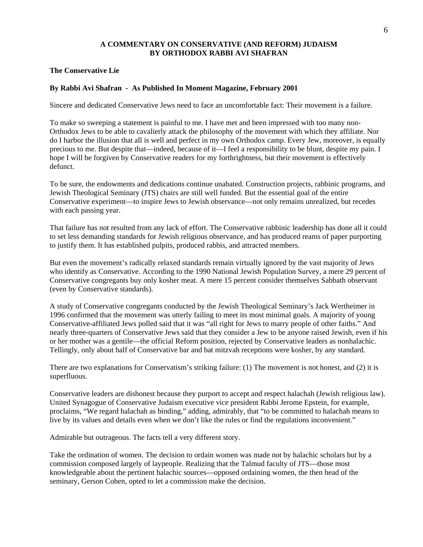## **A COMMENTARY ON CONSERVATIVE (AND REFORM) JUDAISM BY ORTHODOX RABBI AVI SHAFRAN**

#### **The Conservative Lie**

#### **By Rabbi Avi Shafran - As Published In Moment Magazine, February 2001**

Sincere and dedicated Conservative Jews need to face an uncomfortable fact: Their movement is a failure.

To make so sweeping a statement is painful to me. I have met and been impressed with too many non-Orthodox Jews to be able to cavalierly attack the philosophy of the movement with which they affiliate. Nor do I harbor the illusion that all is well and perfect in my own Orthodox camp. Every Jew, moreover, is equally precious to me. But despite that—indeed, because of it—I feel a responsibility to be blunt, despite my pain. I hope I will be forgiven by Conservative readers for my forthrightness, but their movement is effectively defunct.

To be sure, the endowments and dedications continue unabated. Construction projects, rabbinic programs, and Jewish Theological Seminary (JTS) chairs are still well funded. But the essential goal of the entire Conservative experiment—to inspire Jews to Jewish observance—not only remains unrealized, but recedes with each passing year.

That failure has not resulted from any lack of effort. The Conservative rabbinic leadership has done all it could to set less demanding standards for Jewish religious observance, and has produced reams of paper purporting to justify them. It has established pulpits, produced rabbis, and attracted members.

But even the movement's radically relaxed standards remain virtually ignored by the vast majority of Jews who identify as Conservative. According to the 1990 National Jewish Population Survey, a mere 29 percent of Conservative congregants buy only kosher meat. A mere 15 percent consider themselves Sabbath observant (even by Conservative standards).

A study of Conservative congregants conducted by the Jewish Theological Seminary's Jack Wertheimer in 1996 confirmed that the movement was utterly failing to meet its most minimal goals. A majority of young Conservative-affiliated Jews polled said that it was "all right for Jews to marry people of other faiths." And nearly three-quarters of Conservative Jews said that they consider a Jew to be anyone raised Jewish, even if his or her mother was a gentile—the official Reform position, rejected by Conservative leaders as nonhalachic. Tellingly, only about half of Conservative bar and bat mitzvah receptions were kosher, by any standard.

There are two explanations for Conservatism's striking failure: (1) The movement is not honest, and (2) it is superfluous.

Conservative leaders are dishonest because they purport to accept and respect halachah (Jewish religious law). United Synagogue of Conservative Judaism executive vice president Rabbi Jerome Epstein, for example, proclaims, "We regard halachah as binding," adding, admirably, that "to be committed to halachah means to live by its values and details even when we don't like the rules or find the regulations inconvenient."

Admirable but outrageous. The facts tell a very different story.

Take the ordination of women. The decision to ordain women was made not by halachic scholars but by a commission composed largely of laypeople. Realizing that the Talmud faculty of JTS—those most knowledgeable about the pertinent halachic sources—opposed ordaining women, the then head of the seminary, Gerson Cohen, opted to let a commission make the decision.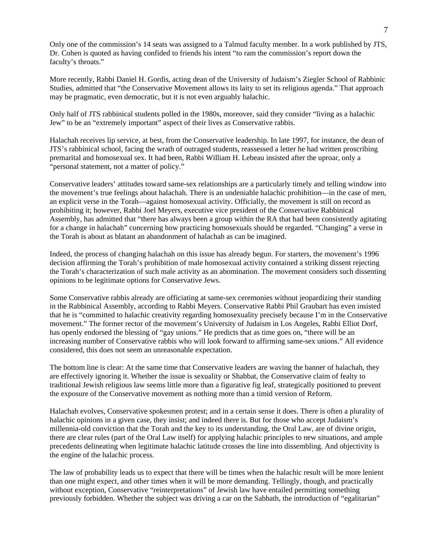Only one of the commission's 14 seats was assigned to a Talmud faculty member. In a work published by JTS, Dr. Cohen is quoted as having confided to friends his intent "to ram the commission's report down the faculty's throats."

More recently, Rabbi Daniel H. Gordis, acting dean of the University of Judaism's Ziegler School of Rabbinic Studies, admitted that "the Conservative Movement allows its laity to set its religious agenda." That approach may be pragmatic, even democratic, but it is not even arguably halachic.

Only half of JTS rabbinical students polled in the 1980s, moreover, said they consider "living as a halachic Jew" to be an "extremely important" aspect of their lives as Conservative rabbis.

Halachah receives lip service, at best, from the Conservative leadership. In late 1997, for instance, the dean of JTS's rabbinical school, facing the wrath of outraged students, reassessed a letter he had written proscribing premarital and homosexual sex. It had been, Rabbi William H. Lebeau insisted after the uproar, only a "personal statement, not a matter of policy."

Conservative leaders' attitudes toward same-sex relationships are a particularly timely and telling window into the movement's true feelings about halachah. There is an undeniable halachic prohibition—in the case of men, an explicit verse in the Torah—against homosexual activity. Officially, the movement is still on record as prohibiting it; however, Rabbi Joel Meyers, executive vice president of the Conservative Rabbinical Assembly, has admitted that "there has always been a group within the RA that had been consistently agitating for a change in halachah" concerning how practicing homosexuals should be regarded. "Changing" a verse in the Torah is about as blatant an abandonment of halachah as can be imagined.

Indeed, the process of changing halachah on this issue has already begun. For starters, the movement's 1996 decision affirming the Torah's prohibition of male homosexual activity contained a striking dissent rejecting the Torah's characterization of such male activity as an abomination. The movement considers such dissenting opinions to be legitimate options for Conservative Jews.

Some Conservative rabbis already are officiating at same-sex ceremonies without jeopardizing their standing in the Rabbinical Assembly, according to Rabbi Meyers. Conservative Rabbi Phil Graubart has even insisted that he is "committed to halachic creativity regarding homosexuality precisely because I'm in the Conservative movement." The former rector of the movement's University of Judaism in Los Angeles, Rabbi Elliot Dorf, has openly endorsed the blessing of "gay unions." He predicts that as time goes on, "there will be an increasing number of Conservative rabbis who will look forward to affirming same-sex unions." All evidence considered, this does not seem an unreasonable expectation.

The bottom line is clear: At the same time that Conservative leaders are waving the banner of halachah, they are effectively ignoring it. Whether the issue is sexuality or Shabbat, the Conservative claim of fealty to traditional Jewish religious law seems little more than a figurative fig leaf, strategically positioned to prevent the exposure of the Conservative movement as nothing more than a timid version of Reform.

Halachah evolves, Conservative spokesmen protest; and in a certain sense it does. There is often a plurality of halachic opinions in a given case, they insist; and indeed there is. But for those who accept Judaism's millennia-old conviction that the Torah and the key to its understanding, the Oral Law, are of divine origin, there are clear rules (part of the Oral Law itself) for applying halachic principles to new situations, and ample precedents delineating when legitimate halachic latitude crosses the line into dissembling. And objectivity is the engine of the halachic process.

The law of probability leads us to expect that there will be times when the halachic result will be more lenient than one might expect, and other times when it will be more demanding. Tellingly, though, and practically without exception, Conservative "reinterpretations" of Jewish law have entailed permitting something previously forbidden. Whether the subject was driving a car on the Sabbath, the introduction of "egalitarian"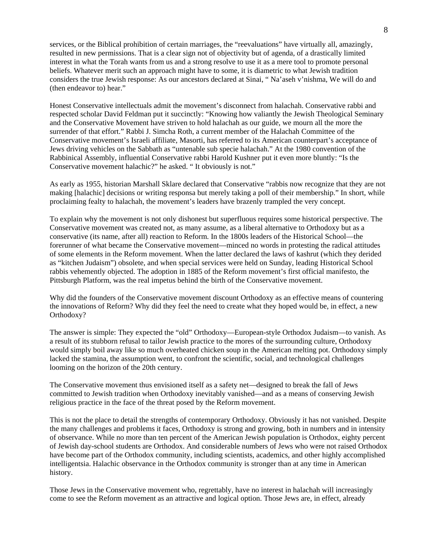services, or the Biblical prohibition of certain marriages, the "reevaluations" have virtually all, amazingly, resulted in new permissions. That is a clear sign not of objectivity but of agenda, of a drastically limited interest in what the Torah wants from us and a strong resolve to use it as a mere tool to promote personal beliefs. Whatever merit such an approach might have to some, it is diametric to what Jewish tradition considers the true Jewish response: As our ancestors declared at Sinai, " Na'aseh v'nishma, We will do and (then endeavor to) hear."

Honest Conservative intellectuals admit the movement's disconnect from halachah. Conservative rabbi and respected scholar David Feldman put it succinctly: "Knowing how valiantly the Jewish Theological Seminary and the Conservative Movement have striven to hold halachah as our guide, we mourn all the more the surrender of that effort." Rabbi J. Simcha Roth, a current member of the Halachah Committee of the Conservative movement's Israeli affiliate, Masorti, has referred to its American counterpart's acceptance of Jews driving vehicles on the Sabbath as "untenable sub specie halachah." At the 1980 convention of the Rabbinical Assembly, influential Conservative rabbi Harold Kushner put it even more bluntly: "Is the Conservative movement halachic?" he asked. " It obviously is not."

As early as 1955, historian Marshall Sklare declared that Conservative "rabbis now recognize that they are not making [halachic] decisions or writing responsa but merely taking a poll of their membership." In short, while proclaiming fealty to halachah, the movement's leaders have brazenly trampled the very concept.

To explain why the movement is not only dishonest but superfluous requires some historical perspective. The Conservative movement was created not, as many assume, as a liberal alternative to Orthodoxy but as a conservative (its name, after all) reaction to Reform. In the 1800s leaders of the Historical School—the forerunner of what became the Conservative movement—minced no words in protesting the radical attitudes of some elements in the Reform movement. When the latter declared the laws of kashrut (which they derided as "kitchen Judaism") obsolete, and when special services were held on Sunday, leading Historical School rabbis vehemently objected. The adoption in 1885 of the Reform movement's first official manifesto, the Pittsburgh Platform, was the real impetus behind the birth of the Conservative movement.

Why did the founders of the Conservative movement discount Orthodoxy as an effective means of countering the innovations of Reform? Why did they feel the need to create what they hoped would be, in effect, a new Orthodoxy?

The answer is simple: They expected the "old" Orthodoxy—European-style Orthodox Judaism—to vanish. As a result of its stubborn refusal to tailor Jewish practice to the mores of the surrounding culture, Orthodoxy would simply boil away like so much overheated chicken soup in the American melting pot. Orthodoxy simply lacked the stamina, the assumption went, to confront the scientific, social, and technological challenges looming on the horizon of the 20th century.

The Conservative movement thus envisioned itself as a safety net—designed to break the fall of Jews committed to Jewish tradition when Orthodoxy inevitably vanished—and as a means of conserving Jewish religious practice in the face of the threat posed by the Reform movement.

This is not the place to detail the strengths of contemporary Orthodoxy. Obviously it has not vanished. Despite the many challenges and problems it faces, Orthodoxy is strong and growing, both in numbers and in intensity of observance. While no more than ten percent of the American Jewish population is Orthodox, eighty percent of Jewish day-school students are Orthodox. And considerable numbers of Jews who were not raised Orthodox have become part of the Orthodox community, including scientists, academics, and other highly accomplished intelligentsia. Halachic observance in the Orthodox community is stronger than at any time in American history.

Those Jews in the Conservative movement who, regrettably, have no interest in halachah will increasingly come to see the Reform movement as an attractive and logical option. Those Jews are, in effect, already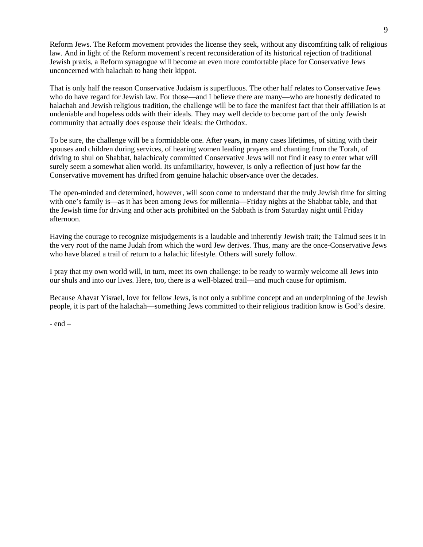Reform Jews. The Reform movement provides the license they seek, without any discomfiting talk of religious law. And in light of the Reform movement's recent reconsideration of its historical rejection of traditional Jewish praxis, a Reform synagogue will become an even more comfortable place for Conservative Jews unconcerned with halachah to hang their kippot.

That is only half the reason Conservative Judaism is superfluous. The other half relates to Conservative Jews who do have regard for Jewish law. For those—and I believe there are many—who are honestly dedicated to halachah and Jewish religious tradition, the challenge will be to face the manifest fact that their affiliation is at undeniable and hopeless odds with their ideals. They may well decide to become part of the only Jewish community that actually does espouse their ideals: the Orthodox.

To be sure, the challenge will be a formidable one. After years, in many cases lifetimes, of sitting with their spouses and children during services, of hearing women leading prayers and chanting from the Torah, of driving to shul on Shabbat, halachicaly committed Conservative Jews will not find it easy to enter what will surely seem a somewhat alien world. Its unfamiliarity, however, is only a reflection of just how far the Conservative movement has drifted from genuine halachic observance over the decades.

The open-minded and determined, however, will soon come to understand that the truly Jewish time for sitting with one's family is—as it has been among Jews for millennia—Friday nights at the Shabbat table, and that the Jewish time for driving and other acts prohibited on the Sabbath is from Saturday night until Friday afternoon.

Having the courage to recognize misjudgements is a laudable and inherently Jewish trait; the Talmud sees it in the very root of the name Judah from which the word Jew derives. Thus, many are the once-Conservative Jews who have blazed a trail of return to a halachic lifestyle. Others will surely follow.

I pray that my own world will, in turn, meet its own challenge: to be ready to warmly welcome all Jews into our shuls and into our lives. Here, too, there is a well-blazed trail—and much cause for optimism.

Because Ahavat Yisrael, love for fellow Jews, is not only a sublime concept and an underpinning of the Jewish people, it is part of the halachah—something Jews committed to their religious tradition know is God's desire.

- end –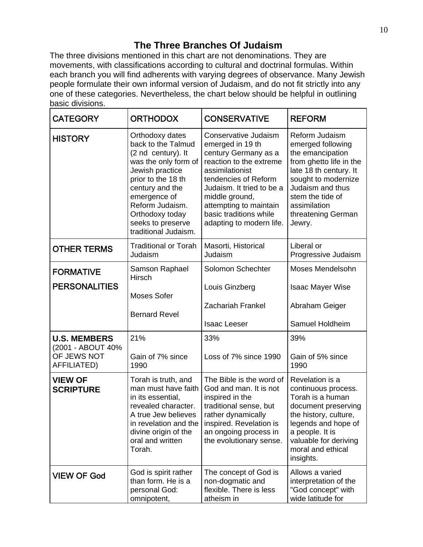# **The Three Branches Of Judaism**

The three divisions mentioned in this chart are not denominations. They are movements, with classifications according to cultural and doctrinal formulas. Within each branch you will find adherents with varying degrees of observance. Many Jewish people formulate their own informal version of Judaism, and do not fit strictly into any one of these categories. Nevertheless, the chart below should be helpful in outlining basic divisions.

| <b>CATEGORY</b>                                 | <b>ORTHODOX</b>                                                                                                                                                                                                                                    | <b>CONSERVATIVE</b>                                                                                                                                                                                                                                                   | <b>REFORM</b>                                                                                                                                                                                                               |
|-------------------------------------------------|----------------------------------------------------------------------------------------------------------------------------------------------------------------------------------------------------------------------------------------------------|-----------------------------------------------------------------------------------------------------------------------------------------------------------------------------------------------------------------------------------------------------------------------|-----------------------------------------------------------------------------------------------------------------------------------------------------------------------------------------------------------------------------|
| <b>HISTORY</b>                                  | Orthodoxy dates<br>back to the Talmud<br>(2 nd century). It<br>was the only form of<br>Jewish practice<br>prior to the 18 th<br>century and the<br>emergence of<br>Reform Judaism.<br>Orthodoxy today<br>seeks to preserve<br>traditional Judaism. | Conservative Judaism<br>emerged in 19 th<br>century Germany as a<br>reaction to the extreme<br>assimilationist<br>tendencies of Reform<br>Judaism. It tried to be a<br>middle ground,<br>attempting to maintain<br>basic traditions while<br>adapting to modern life. | Reform Judaism<br>emerged following<br>the emancipation<br>from ghetto life in the<br>late 18 th century. It<br>sought to modernize<br>Judaism and thus<br>stem the tide of<br>assimilation<br>threatening German<br>Jewry. |
| <b>OTHER TERMS</b>                              | <b>Traditional or Torah</b><br>Judaism                                                                                                                                                                                                             | Masorti, Historical<br>Judaism                                                                                                                                                                                                                                        | Liberal or<br>Progressive Judaism                                                                                                                                                                                           |
| <b>FORMATIVE</b><br><b>PERSONALITIES</b>        | Samson Raphael<br>Hirsch                                                                                                                                                                                                                           | Solomon Schechter<br>Louis Ginzberg                                                                                                                                                                                                                                   | Moses Mendelsohn<br><b>Isaac Mayer Wise</b>                                                                                                                                                                                 |
|                                                 | Moses Sofer<br><b>Bernard Revel</b>                                                                                                                                                                                                                | <b>Zachariah Frankel</b><br><b>Isaac Leeser</b>                                                                                                                                                                                                                       | Abraham Geiger<br>Samuel Holdheim                                                                                                                                                                                           |
| <b>U.S. MEMBERS</b>                             | 21%                                                                                                                                                                                                                                                | 33%                                                                                                                                                                                                                                                                   | 39%                                                                                                                                                                                                                         |
| (2001 - ABOUT 40%<br>OF JEWS NOT<br>AFFILIATED) | Gain of 7% since<br>1990                                                                                                                                                                                                                           | Loss of 7% since 1990                                                                                                                                                                                                                                                 | Gain of 5% since<br>1990                                                                                                                                                                                                    |
| <b>VIEW OF</b><br><b>SCRIPTURE</b>              | Torah is truth, and<br>man must have faith<br>in its essential,<br>revealed character.<br>A true Jew believes<br>in revelation and the<br>divine origin of the<br>oral and written<br>Torah.                                                       | The Bible is the word of<br>God and man. It is not<br>inspired in the<br>traditional sense, but<br>rather dynamically<br>inspired. Revelation is<br>an ongoing process in<br>the evolutionary sense.                                                                  | Revelation is a<br>continuous process.<br>Torah is a human<br>document preserving<br>the history, culture,<br>legends and hope of<br>a people. It is<br>valuable for deriving<br>moral and ethical<br>insights.             |
| <b>VIEW OF God</b>                              | God is spirit rather<br>than form. He is a<br>personal God:<br>omnipotent,                                                                                                                                                                         | The concept of God is<br>non-dogmatic and<br>flexible. There is less<br>atheism in                                                                                                                                                                                    | Allows a varied<br>interpretation of the<br>"God concept" with<br>wide latitude for                                                                                                                                         |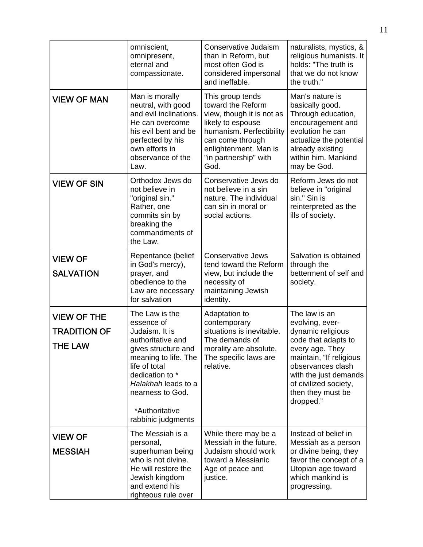|                                                             | omniscient,<br>omnipresent,<br>eternal and<br>compassionate.                                                                                                                                                                              | Conservative Judaism<br>than in Reform, but<br>most often God is<br>considered impersonal<br>and ineffable.                                                                                       | naturalists, mystics, &<br>religious humanists. It<br>holds: "The truth is<br>that we do not know<br>the truth."                                                                                                                    |
|-------------------------------------------------------------|-------------------------------------------------------------------------------------------------------------------------------------------------------------------------------------------------------------------------------------------|---------------------------------------------------------------------------------------------------------------------------------------------------------------------------------------------------|-------------------------------------------------------------------------------------------------------------------------------------------------------------------------------------------------------------------------------------|
| <b>VIEW OF MAN</b>                                          | Man is morally<br>neutral, with good<br>and evil inclinations.<br>He can overcome<br>his evil bent and be<br>perfected by his<br>own efforts in<br>observance of the<br>Law.                                                              | This group tends<br>toward the Reform<br>view, though it is not as<br>likely to espouse<br>humanism. Perfectibility<br>can come through<br>enlightenment. Man is<br>"in partnership" with<br>God. | Man's nature is<br>basically good.<br>Through education,<br>encouragement and<br>evolution he can<br>actualize the potential<br>already existing<br>within him. Mankind<br>may be God.                                              |
| <b>VIEW OF SIN</b>                                          | Orthodox Jews do<br>not believe in<br>"original sin."<br>Rather, one<br>commits sin by<br>breaking the<br>commandments of<br>the Law.                                                                                                     | Conservative Jews do<br>not believe in a sin<br>nature. The individual<br>can sin in moral or<br>social actions.                                                                                  | Reform Jews do not<br>believe in "original<br>sin." Sin is<br>reinterpreted as the<br>ills of society.                                                                                                                              |
| <b>VIEW OF</b><br><b>SALVATION</b>                          | Repentance (belief<br>in God's mercy),<br>prayer, and<br>obedience to the<br>Law are necessary<br>for salvation                                                                                                                           | <b>Conservative Jews</b><br>tend toward the Reform<br>view, but include the<br>necessity of<br>maintaining Jewish<br>identity.                                                                    | Salvation is obtained<br>through the<br>betterment of self and<br>society.                                                                                                                                                          |
| <b>VIEW OF THE</b><br><b>TRADITION OF</b><br><b>THE LAW</b> | The Law is the<br>essence of<br>Judaism. It is<br>authoritative and<br>gives structure and<br>meaning to life. The<br>life of total<br>dedication to *<br>Halakhah leads to a<br>nearness to God.<br>*Authoritative<br>rabbinic judgments | Adaptation to<br>contemporary<br>situations is inevitable.<br>The demands of<br>morality are absolute.<br>The specific laws are<br>relative.                                                      | The law is an<br>evolving, ever-<br>dynamic religious<br>code that adapts to<br>every age. They<br>maintain, "If religious<br>observances clash<br>with the just demands<br>of civilized society,<br>then they must be<br>dropped." |
| <b>VIEW OF</b><br><b>MESSIAH</b>                            | The Messiah is a<br>personal,<br>superhuman being<br>who is not divine.<br>He will restore the<br>Jewish kingdom<br>and extend his<br>righteous rule over                                                                                 | While there may be a<br>Messiah in the future,<br>Judaism should work<br>toward a Messianic<br>Age of peace and<br>justice.                                                                       | Instead of belief in<br>Messiah as a person<br>or divine being, they<br>favor the concept of a<br>Utopian age toward<br>which mankind is<br>progressing.                                                                            |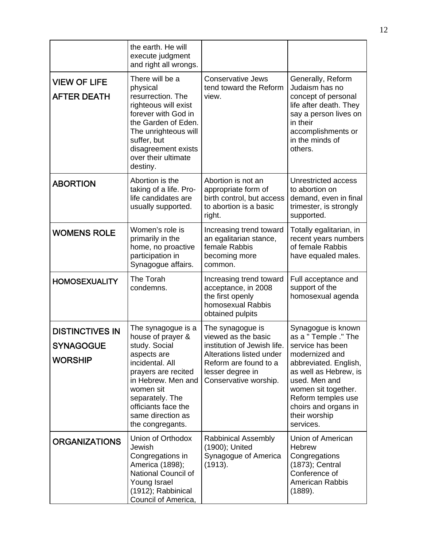|                                                              | the earth. He will<br>execute judgment<br>and right all wrongs.                                                                                                                                                                         |                                                                                                                                                                          |                                                                                                                                                                                                                                                        |
|--------------------------------------------------------------|-----------------------------------------------------------------------------------------------------------------------------------------------------------------------------------------------------------------------------------------|--------------------------------------------------------------------------------------------------------------------------------------------------------------------------|--------------------------------------------------------------------------------------------------------------------------------------------------------------------------------------------------------------------------------------------------------|
| <b>VIEW OF LIFE</b><br><b>AFTER DEATH</b>                    | There will be a<br>physical<br>resurrection. The<br>righteous will exist<br>forever with God in<br>the Garden of Eden.<br>The unrighteous will<br>suffer, but<br>disagreement exists<br>over their ultimate<br>destiny.                 | <b>Conservative Jews</b><br>tend toward the Reform<br>view.                                                                                                              | Generally, Reform<br>Judaism has no<br>concept of personal<br>life after death. They<br>say a person lives on<br>in their<br>accomplishments or<br>in the minds of<br>others.                                                                          |
| <b>ABORTION</b>                                              | Abortion is the<br>taking of a life. Pro-<br>life candidates are<br>usually supported.                                                                                                                                                  | Abortion is not an<br>appropriate form of<br>birth control, but access<br>to abortion is a basic<br>right.                                                               | Unrestricted access<br>to abortion on<br>demand, even in final<br>trimester, is strongly<br>supported.                                                                                                                                                 |
| <b>WOMENS ROLE</b>                                           | Women's role is<br>primarily in the<br>home, no proactive<br>participation in<br>Synagogue affairs.                                                                                                                                     | Increasing trend toward<br>an egalitarian stance,<br>female Rabbis<br>becoming more<br>common.                                                                           | Totally egalitarian, in<br>recent years numbers<br>of female Rabbis<br>have equaled males.                                                                                                                                                             |
| <b>HOMOSEXUALITY</b>                                         | The Torah<br>condemns.                                                                                                                                                                                                                  | Increasing trend toward<br>acceptance, in 2008<br>the first openly<br>homosexual Rabbis<br>obtained pulpits                                                              | Full acceptance and<br>support of the<br>homosexual agenda                                                                                                                                                                                             |
| <b>DISTINCTIVES IN</b><br><b>SYNAGOGUE</b><br><b>WORSHIP</b> | The synagogue is a<br>house of prayer &<br>study. Social<br>aspects are<br>incidental. All<br>prayers are recited<br>in Hebrew. Men and<br>women sit<br>separately. The<br>officiants face the<br>same direction as<br>the congregants. | The synagogue is<br>viewed as the basic<br>institution of Jewish life.<br>Alterations listed under<br>Reform are found to a<br>lesser degree in<br>Conservative worship. | Synagogue is known<br>as a " Temple ." The<br>service has been<br>modernized and<br>abbreviated. English,<br>as well as Hebrew, is<br>used. Men and<br>women sit together.<br>Reform temples use<br>choirs and organs in<br>their worship<br>services. |
| <b>ORGANIZATIONS</b>                                         | Union of Orthodox<br>Jewish<br>Congregations in<br>America (1898);<br>National Council of<br>Young Israel<br>(1912); Rabbinical<br>Council of America,                                                                                  | <b>Rabbinical Assembly</b><br>(1900); United<br>Synagogue of America<br>(1913).                                                                                          | Union of American<br><b>Hebrew</b><br>Congregations<br>(1873); Central<br>Conference of<br>American Rabbis<br>(1889).                                                                                                                                  |